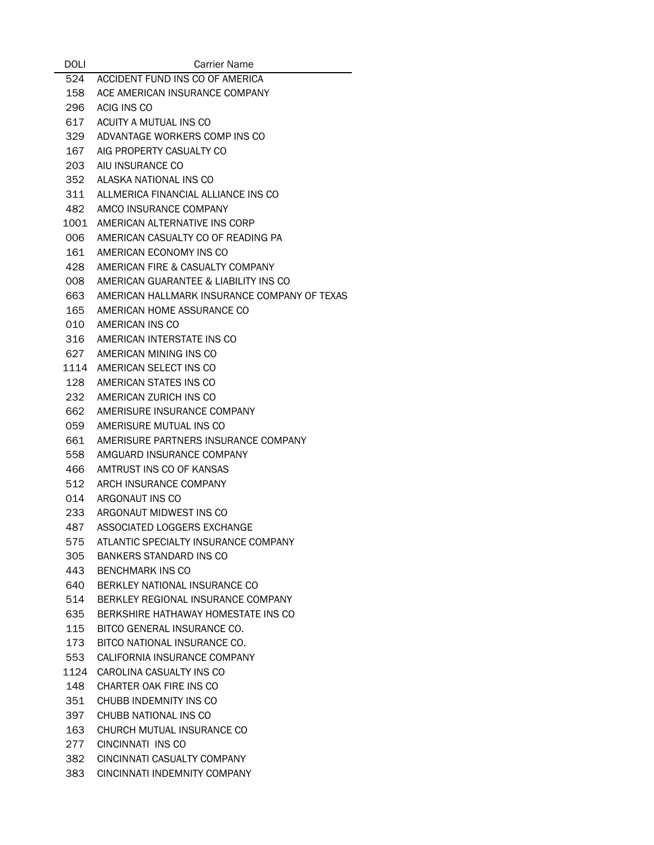| <b>DOLI</b> | Carrier Name                                 |
|-------------|----------------------------------------------|
| 524         | ACCIDENT FUND INS CO OF AMERICA              |
| 158         | ACE AMERICAN INSURANCE COMPANY               |
| 296         | ACIG INS CO                                  |
| 617         | ACUITY A MUTUAL INS CO                       |
| 329         | ADVANTAGE WORKERS COMP INS CO                |
| 167         | AIG PROPERTY CASUALTY CO                     |
| 203         | AIU INSURANCE CO                             |
| 352         | ALASKA NATIONAL INS CO                       |
| 311         | ALLMERICA FINANCIAL ALLIANCE INS CO          |
| 482         | AMCO INSURANCE COMPANY                       |
| 1001        | AMERICAN ALTERNATIVE INS CORP                |
| 006         | AMERICAN CASUALTY CO OF READING PA           |
| 161         | AMERICAN ECONOMY INS CO                      |
| 428         | AMERICAN FIRE & CASUALTY COMPANY             |
| 008         | AMERICAN GUARANTEE & LIABILITY INS CO        |
| 663         | AMERICAN HALLMARK INSURANCE COMPANY OF TEXAS |
| 165         | AMERICAN HOME ASSURANCE CO                   |
|             | 010 AMERICAN INS CO                          |
|             | 316 AMERICAN INTERSTATE INS CO               |
| 627         | AMERICAN MINING INS CO                       |
| 1114        | AMERICAN SELECT INS CO                       |
| 128         | AMERICAN STATES INS CO                       |
| 232         | AMERICAN ZURICH INS CO                       |
| 662         | AMERISURE INSURANCE COMPANY                  |
| 059         | AMERISURE MUTUAL INS CO                      |
| 661         | AMERISURE PARTNERS INSURANCE COMPANY         |
| 558         | AMGUARD INSURANCE COMPANY                    |
| 466         | AMTRUST INS CO OF KANSAS                     |
| 512         | ARCH INSURANCE COMPANY                       |
| 014         | ARGONAUT INS CO                              |
| 233         | ARGONAUT MIDWEST INS CO                      |
|             | 487 ASSOCIATED LOGGERS EXCHANGE              |
| 575         | ATLANTIC SPECIALTY INSURANCE COMPANY         |
| 305         | <b>BANKERS STANDARD INS CO</b>               |
| 443         | BENCHMARK INS CO                             |
| 640         | BERKLEY NATIONAL INSURANCE CO                |
|             | 514 BERKLEY REGIONAL INSURANCE COMPANY       |
| 635         | BERKSHIRE HATHAWAY HOMESTATE INS CO          |
| 115         | BITCO GENERAL INSURANCE CO.                  |
| 173         | BITCO NATIONAL INSURANCE CO.                 |
| 553         | CALIFORNIA INSURANCE COMPANY                 |
| 1124        | CAROLINA CASUALTY INS CO                     |
| 148         | CHARTER OAK FIRE INS CO                      |
| 351         | CHUBB INDEMNITY INS CO                       |
| 397         | CHUBB NATIONAL INS CO                        |
| 163         | CHURCH MUTUAL INSURANCE CO                   |
| 277         | CINCINNATI INS CO                            |
| 382         | CINCINNATI CASUALTY COMPANY                  |
|             | 383 CINCINNATI INDEMNITY COMPANY             |
|             |                                              |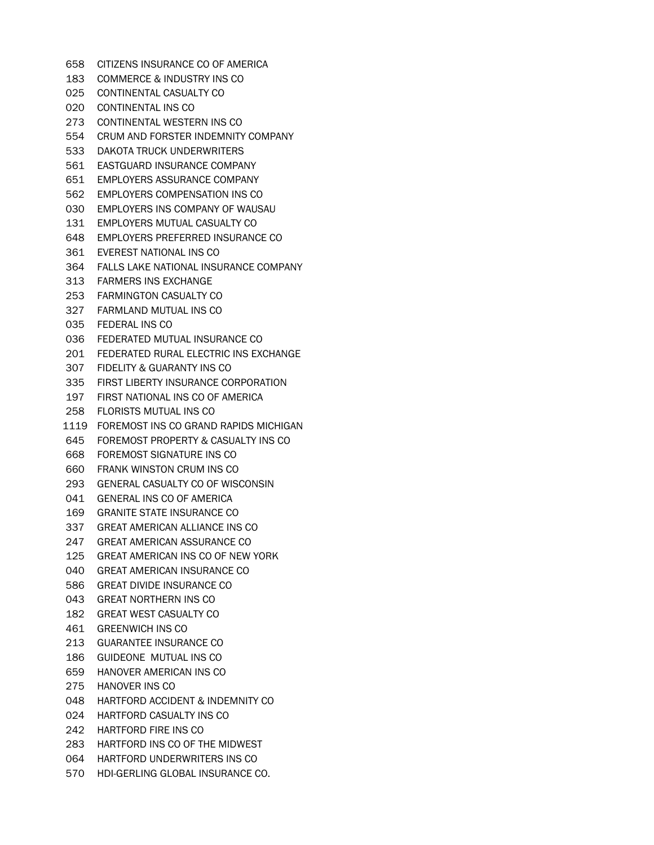CITIZENS INSURANCE CO OF AMERICA COMMERCE & INDUSTRY INS CO CONTINENTAL CASUALTY CO CONTINENTAL INS CO CONTINENTAL WESTERN INS CO CRUM AND FORSTER INDEMNITY COMPANY DAKOTA TRUCK UNDERWRITERS EASTGUARD INSURANCE COMPANY EMPLOYERS ASSURANCE COMPANY EMPLOYERS COMPENSATION INS CO EMPLOYERS INS COMPANY OF WAUSAU EMPLOYERS MUTUAL CASUALTY CO EMPLOYERS PREFERRED INSURANCE CO EVEREST NATIONAL INS CO FALLS LAKE NATIONAL INSURANCE COMPANY FARMERS INS EXCHANGE FARMINGTON CASUALTY CO FARMLAND MUTUAL INS CO FEDERAL INS CO FEDERATED MUTUAL INSURANCE CO FEDERATED RURAL ELECTRIC INS EXCHANGE FIDELITY & GUARANTY INS CO FIRST LIBERTY INSURANCE CORPORATION FIRST NATIONAL INS CO OF AMERICA FLORISTS MUTUAL INS CO FOREMOST INS CO GRAND RAPIDS MICHIGAN FOREMOST PROPERTY & CASUALTY INS CO FOREMOST SIGNATURE INS CO FRANK WINSTON CRUM INS CO GENERAL CASUALTY CO OF WISCONSIN GENERAL INS CO OF AMERICA GRANITE STATE INSURANCE CO GREAT AMERICAN ALLIANCE INS CO GREAT AMERICAN ASSURANCE CO GREAT AMERICAN INS CO OF NEW YORK GREAT AMERICAN INSURANCE CO GREAT DIVIDE INSURANCE CO GREAT NORTHERN INS CO GREAT WEST CASUALTY CO GREENWICH INS CO GUARANTEE INSURANCE CO GUIDEONE MUTUAL INS CO HANOVER AMERICAN INS CO HANOVER INS CO HARTFORD ACCIDENT & INDEMNITY CO HARTFORD CASUALTY INS CO HARTFORD FIRE INS CO HARTFORD INS CO OF THE MIDWEST HARTFORD UNDERWRITERS INS CO HDI-GERLING GLOBAL INSURANCE CO.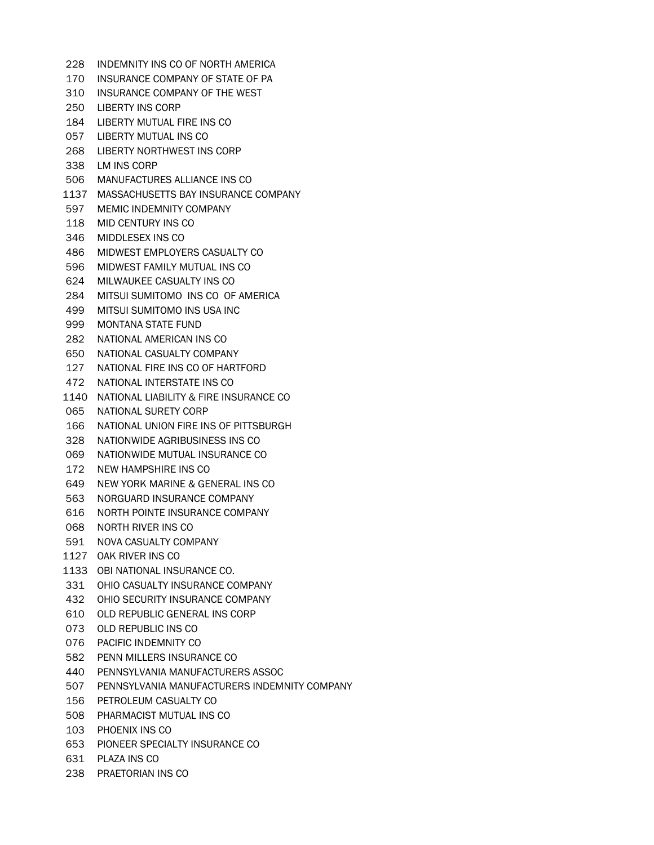- INDEMNITY INS CO OF NORTH AMERICA INSURANCE COMPANY OF STATE OF PA INSURANCE COMPANY OF THE WEST LIBERTY INS CORP LIBERTY MUTUAL FIRE INS CO LIBERTY MUTUAL INS CO LIBERTY NORTHWEST INS CORP LM INS CORP MANUFACTURES ALLIANCE INS CO MASSACHUSETTS BAY INSURANCE COMPANY MEMIC INDEMNITY COMPANY MID CENTURY INS CO MIDDLESEX INS CO MIDWEST EMPLOYERS CASUALTY CO MIDWEST FAMILY MUTUAL INS CO MILWAUKEE CASUALTY INS CO MITSUI SUMITOMO INS CO OF AMERICA MITSUI SUMITOMO INS USA INC MONTANA STATE FUND NATIONAL AMERICAN INS CO NATIONAL CASUALTY COMPANY NATIONAL FIRE INS CO OF HARTFORD NATIONAL INTERSTATE INS CO NATIONAL LIABILITY & FIRE INSURANCE CO NATIONAL SURETY CORP NATIONAL UNION FIRE INS OF PITTSBURGH NATIONWIDE AGRIBUSINESS INS CO NATIONWIDE MUTUAL INSURANCE CO NEW HAMPSHIRE INS CO NEW YORK MARINE & GENERAL INS CO NORGUARD INSURANCE COMPANY NORTH POINTE INSURANCE COMPANY NORTH RIVER INS CO NOVA CASUALTY COMPANY OAK RIVER INS CO OBI NATIONAL INSURANCE CO. OHIO CASUALTY INSURANCE COMPANY OHIO SECURITY INSURANCE COMPANY OLD REPUBLIC GENERAL INS CORP OLD REPUBLIC INS CO PACIFIC INDEMNITY CO PENN MILLERS INSURANCE CO PENNSYLVANIA MANUFACTURERS ASSOC PENNSYLVANIA MANUFACTURERS INDEMNITY COMPANY PETROLEUM CASUALTY CO PHARMACIST MUTUAL INS CO PHOENIX INS CO PIONEER SPECIALTY INSURANCE CO PLAZA INS CO
- PRAETORIAN INS CO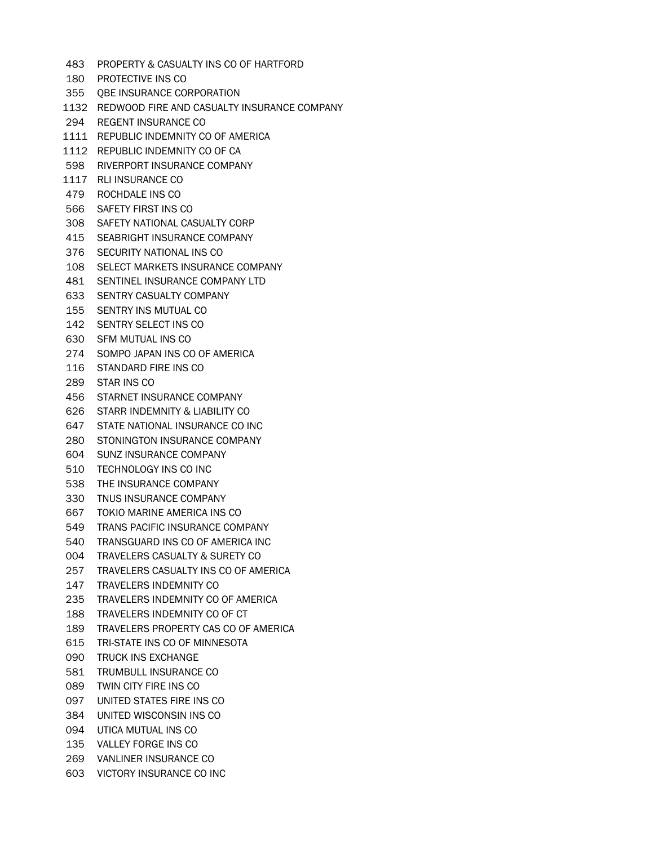- PROPERTY & CASUALTY INS CO OF HARTFORD
- PROTECTIVE INS CO
- QBE INSURANCE CORPORATION
- REDWOOD FIRE AND CASUALTY INSURANCE COMPANY
- REGENT INSURANCE CO
- REPUBLIC INDEMNITY CO OF AMERICA
- REPUBLIC INDEMNITY CO OF CA
- RIVERPORT INSURANCE COMPANY
- RLI INSURANCE CO
- ROCHDALE INS CO
- SAFETY FIRST INS CO
- SAFETY NATIONAL CASUALTY CORP
- SEABRIGHT INSURANCE COMPANY
- SECURITY NATIONAL INS CO
- SELECT MARKETS INSURANCE COMPANY
- SENTINEL INSURANCE COMPANY LTD
- SENTRY CASUALTY COMPANY
- SENTRY INS MUTUAL CO
- SENTRY SELECT INS CO
- SFM MUTUAL INS CO
- SOMPO JAPAN INS CO OF AMERICA
- STANDARD FIRE INS CO
- STAR INS CO
- STARNET INSURANCE COMPANY
- STARR INDEMNITY & LIABILITY CO
- STATE NATIONAL INSURANCE CO INC
- STONINGTON INSURANCE COMPANY
- SUNZ INSURANCE COMPANY
- TECHNOLOGY INS CO INC
- THE INSURANCE COMPANY
- TNUS INSURANCE COMPANY
- TOKIO MARINE AMERICA INS CO
- TRANS PACIFIC INSURANCE COMPANY
- TRANSGUARD INS CO OF AMERICA INC
- TRAVELERS CASUALTY & SURETY CO
- TRAVELERS CASUALTY INS CO OF AMERICA
- TRAVELERS INDEMNITY CO
- TRAVELERS INDEMNITY CO OF AMERICA
- TRAVELERS INDEMNITY CO OF CT
- TRAVELERS PROPERTY CAS CO OF AMERICA
- TRI-STATE INS CO OF MINNESOTA
- TRUCK INS EXCHANGE
- TRUMBULL INSURANCE CO
- TWIN CITY FIRE INS CO
- UNITED STATES FIRE INS CO
- UNITED WISCONSIN INS CO
- UTICA MUTUAL INS CO
- VALLEY FORGE INS CO
- VANLINER INSURANCE CO
- VICTORY INSURANCE CO INC